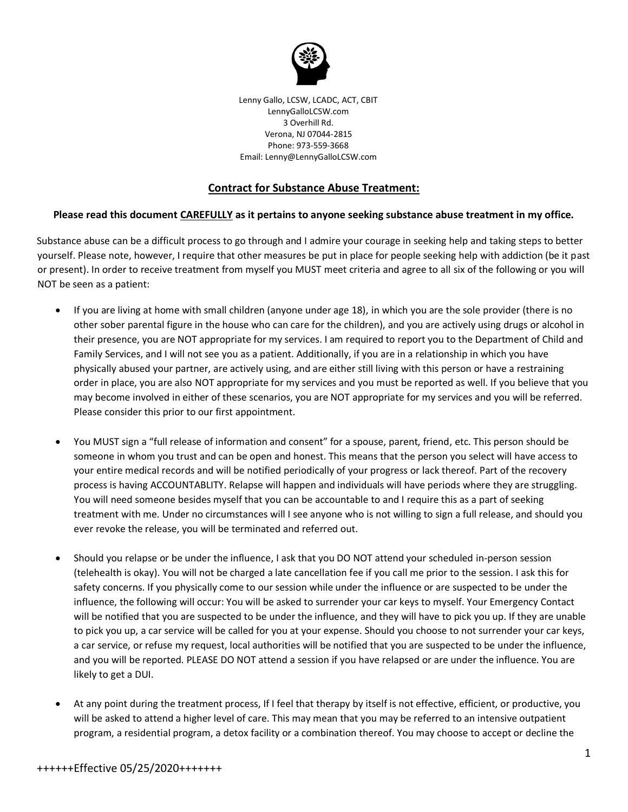

Lenny Gallo, LCSW, LCADC, ACT, CBIT LennyGalloLCSW.com 3 Overhill Rd. Verona, NJ 07044-2815 Phone: 973-559-3668 Email: Lenny@LennyGalloLCSW.com

## **Contract for Substance Abuse Treatment:**

## **Please read this document CAREFULLY as it pertains to anyone seeking substance abuse treatment in my office.**

Substance abuse can be a difficult process to go through and I admire your courage in seeking help and taking steps to better yourself. Please note, however, I require that other measures be put in place for people seeking help with addiction (be it past or present). In order to receive treatment from myself you MUST meet criteria and agree to all six of the following or you will NOT be seen as a patient:

- If you are living at home with small children (anyone under age 18), in which you are the sole provider (there is no other sober parental figure in the house who can care for the children), and you are actively using drugs or alcohol in their presence, you are NOT appropriate for my services. I am required to report you to the Department of Child and Family Services, and I will not see you as a patient. Additionally, if you are in a relationship in which you have physically abused your partner, are actively using, and are either still living with this person or have a restraining order in place, you are also NOT appropriate for my services and you must be reported as well. If you believe that you may become involved in either of these scenarios, you are NOT appropriate for my services and you will be referred. Please consider this prior to our first appointment.
- You MUST sign a "full release of information and consent" for a spouse, parent, friend, etc. This person should be someone in whom you trust and can be open and honest. This means that the person you select will have access to your entire medical records and will be notified periodically of your progress or lack thereof. Part of the recovery process is having ACCOUNTABLITY. Relapse will happen and individuals will have periods where they are struggling. You will need someone besides myself that you can be accountable to and I require this as a part of seeking treatment with me. Under no circumstances will I see anyone who is not willing to sign a full release, and should you ever revoke the release, you will be terminated and referred out.
- Should you relapse or be under the influence, I ask that you DO NOT attend your scheduled in-person session (telehealth is okay). You will not be charged a late cancellation fee if you call me prior to the session. I ask this for safety concerns. If you physically come to our session while under the influence or are suspected to be under the influence, the following will occur: You will be asked to surrender your car keys to myself. Your Emergency Contact will be notified that you are suspected to be under the influence, and they will have to pick you up. If they are unable to pick you up, a car service will be called for you at your expense. Should you choose to not surrender your car keys, a car service, or refuse my request, local authorities will be notified that you are suspected to be under the influence, and you will be reported. PLEASE DO NOT attend a session if you have relapsed or are under the influence. You are likely to get a DUI.
- At any point during the treatment process, If I feel that therapy by itself is not effective, efficient, or productive, you will be asked to attend a higher level of care. This may mean that you may be referred to an intensive outpatient program, a residential program, a detox facility or a combination thereof. You may choose to accept or decline the